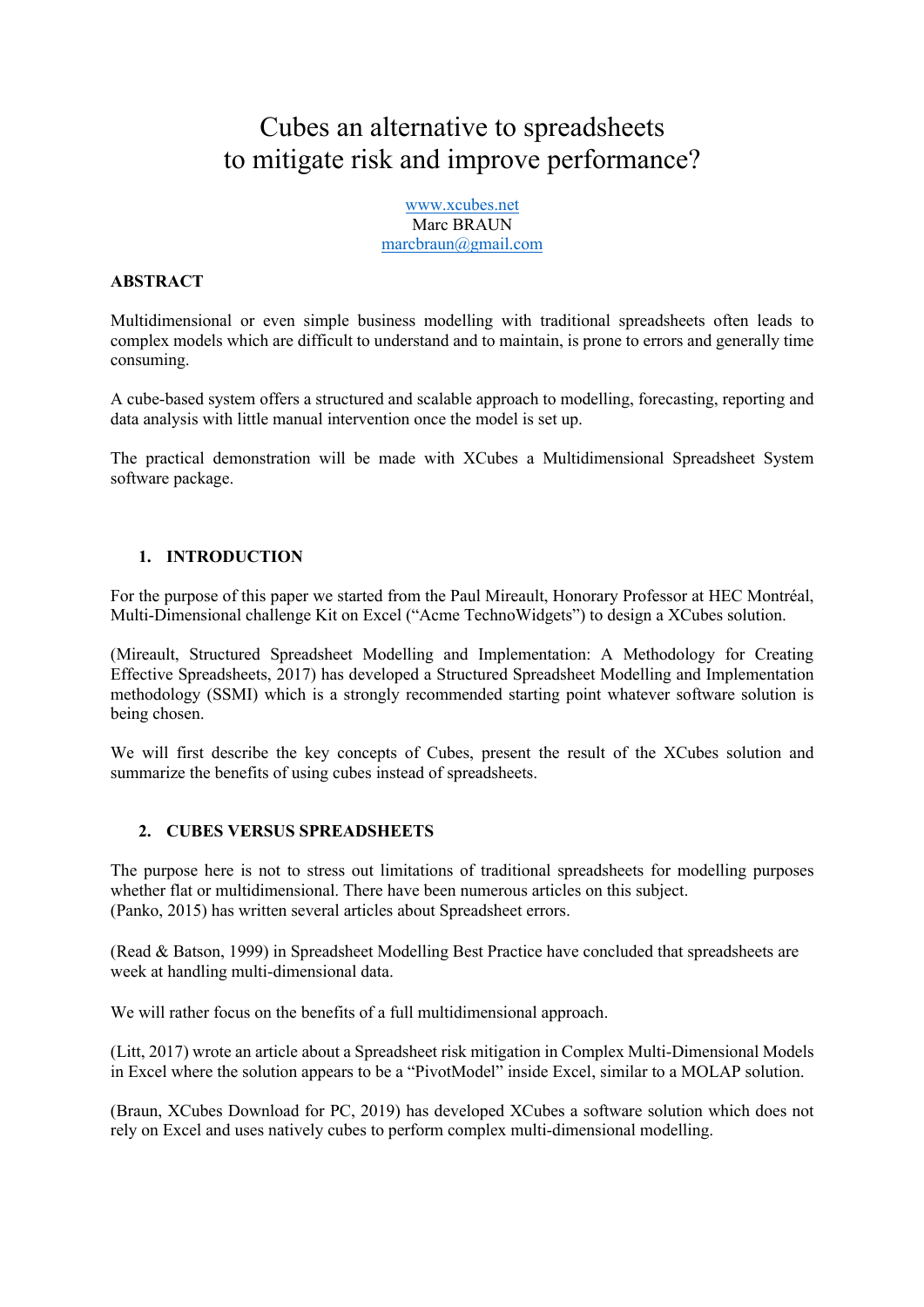# Cubes an alternative to spreadsheets to mitigate risk and improve performance?

www.xcubes.net Marc BRAUN marcbraun@gmail.com

### **ABSTRACT**

Multidimensional or even simple business modelling with traditional spreadsheets often leads to complex models which are difficult to understand and to maintain, is prone to errors and generally time consuming.

A cube-based system offers a structured and scalable approach to modelling, forecasting, reporting and data analysis with little manual intervention once the model is set up.

The practical demonstration will be made with XCubes a Multidimensional Spreadsheet System software package.

#### **1. INTRODUCTION**

For the purpose of this paper we started from the Paul Mireault, Honorary Professor at HEC Montréal, Multi-Dimensional challenge Kit on Excel ("Acme TechnoWidgets") to design a XCubes solution.

(Mireault, Structured Spreadsheet Modelling and Implementation: A Methodology for Creating Effective Spreadsheets, 2017) has developed a Structured Spreadsheet Modelling and Implementation methodology (SSMI) which is a strongly recommended starting point whatever software solution is being chosen.

We will first describe the key concepts of Cubes, present the result of the XCubes solution and summarize the benefits of using cubes instead of spreadsheets.

#### **2. CUBES VERSUS SPREADSHEETS**

The purpose here is not to stress out limitations of traditional spreadsheets for modelling purposes whether flat or multidimensional. There have been numerous articles on this subject. (Panko, 2015) has written several articles about Spreadsheet errors.

(Read & Batson, 1999) in Spreadsheet Modelling Best Practice have concluded that spreadsheets are week at handling multi-dimensional data.

We will rather focus on the benefits of a full multidimensional approach.

(Litt, 2017) wrote an article about a Spreadsheet risk mitigation in Complex Multi-Dimensional Models in Excel where the solution appears to be a "PivotModel" inside Excel, similar to a MOLAP solution.

(Braun, XCubes Download for PC, 2019) has developed XCubes a software solution which does not rely on Excel and uses natively cubes to perform complex multi-dimensional modelling.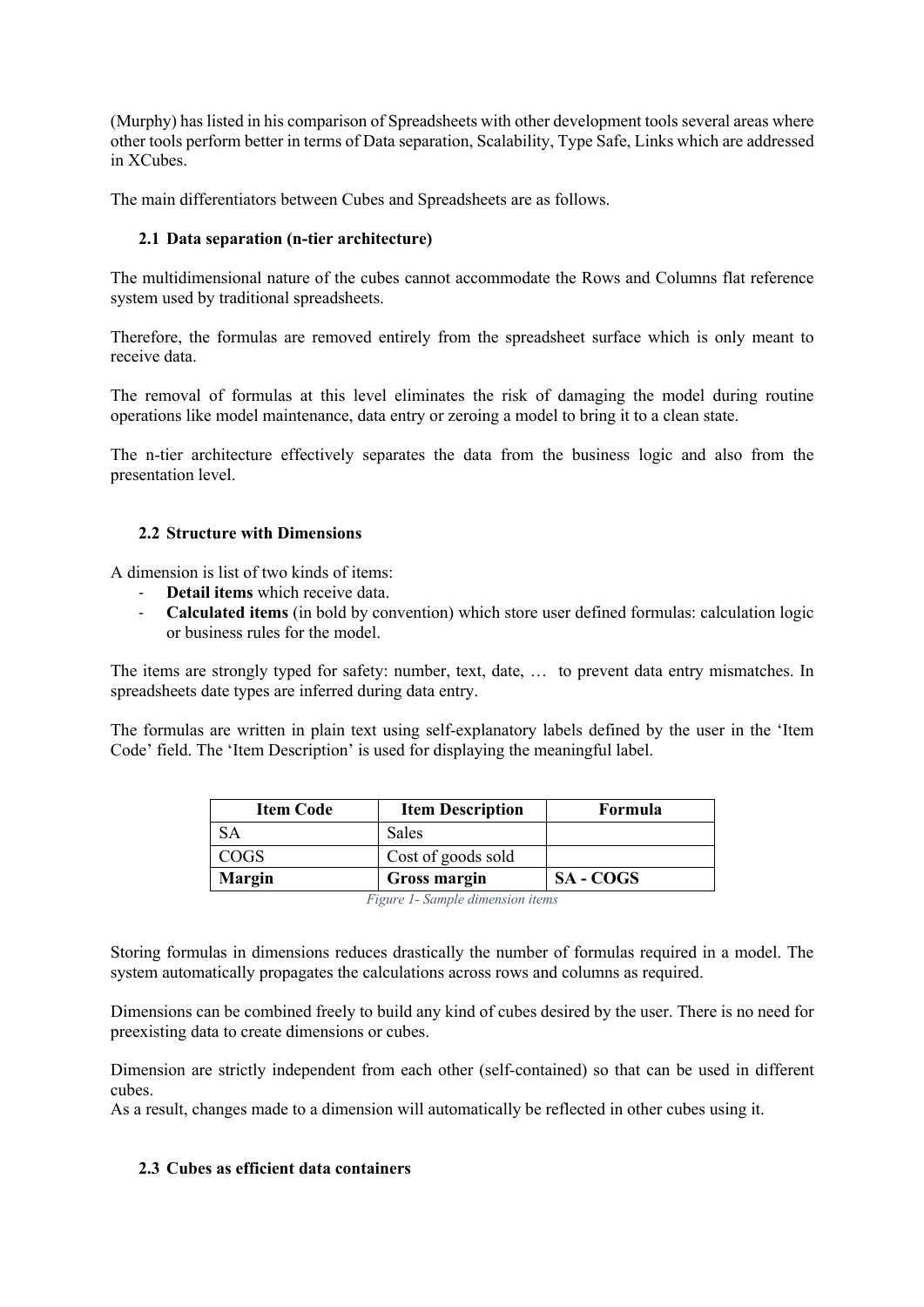(Murphy) has listed in his comparison of Spreadsheets with other development tools several areas where other tools perform better in terms of Data separation, Scalability, Type Safe, Links which are addressed in XCubes.

The main differentiators between Cubes and Spreadsheets are as follows.

# **2.1 Data separation (n-tier architecture)**

The multidimensional nature of the cubes cannot accommodate the Rows and Columns flat reference system used by traditional spreadsheets.

Therefore, the formulas are removed entirely from the spreadsheet surface which is only meant to receive data.

The removal of formulas at this level eliminates the risk of damaging the model during routine operations like model maintenance, data entry or zeroing a model to bring it to a clean state.

The n-tier architecture effectively separates the data from the business logic and also from the presentation level.

## **2.2 Structure with Dimensions**

A dimension is list of two kinds of items:

- **Detail items** which receive data.
- **Calculated items** (in bold by convention) which store user defined formulas: calculation logic or business rules for the model.

The items are strongly typed for safety: number, text, date, … to prevent data entry mismatches. In spreadsheets date types are inferred during data entry.

The formulas are written in plain text using self-explanatory labels defined by the user in the 'Item Code' field. The 'Item Description' is used for displaying the meaningful label.

| <b>Item Code</b> | <b>Item Description</b> | Formula          |
|------------------|-------------------------|------------------|
| <b>SA</b>        | <b>Sales</b>            |                  |
| <b>COGS</b>      | Cost of goods sold      |                  |
| <b>Margin</b>    | <b>Gross margin</b>     | <b>SA - COGS</b> |

*Figure 1- Sample dimension items*

Storing formulas in dimensions reduces drastically the number of formulas required in a model. The system automatically propagates the calculations across rows and columns as required.

Dimensions can be combined freely to build any kind of cubes desired by the user. There is no need for preexisting data to create dimensions or cubes.

Dimension are strictly independent from each other (self-contained) so that can be used in different cubes.

As a result, changes made to a dimension will automatically be reflected in other cubes using it.

### **2.3 Cubes as efficient data containers**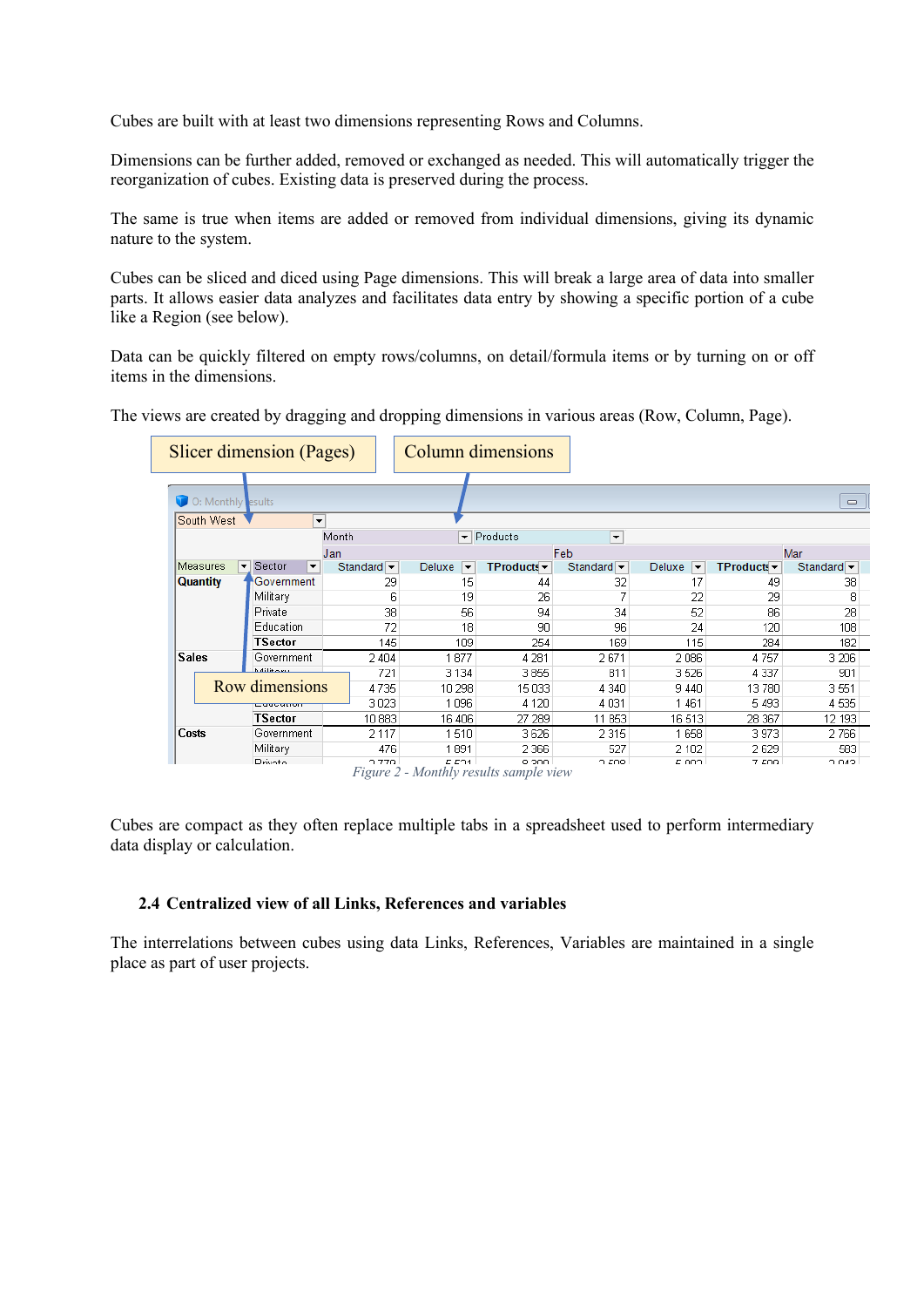Cubes are built with at least two dimensions representing Rows and Columns.

Dimensions can be further added, removed or exchanged as needed. This will automatically trigger the reorganization of cubes. Existing data is preserved during the process.

The same is true when items are added or removed from individual dimensions, giving its dynamic nature to the system.

Cubes can be sliced and diced using Page dimensions. This will break a large area of data into smaller parts. It allows easier data analyzes and facilitates data entry by showing a specific portion of a cube like a Region (see below).

Data can be quickly filtered on empty rows/columns, on detail/formula items or by turning on or off items in the dimensions.

The views are created by dragging and dropping dimensions in various areas (Row, Column, Page).

| Slicer dimension (Pages)         |                                |                                |                                                 | Column dimensions                 |                               |                                    |                     |                                |
|----------------------------------|--------------------------------|--------------------------------|-------------------------------------------------|-----------------------------------|-------------------------------|------------------------------------|---------------------|--------------------------------|
| O: Monthly esults                |                                |                                |                                                 |                                   |                               |                                    |                     | $\Box$                         |
| South West                       |                                | ▼                              |                                                 |                                   |                               |                                    |                     |                                |
|                                  |                                | Month                          | $\overline{\phantom{a}}$                        | Products                          | $\blacktriangledown$          |                                    |                     |                                |
| Feb<br>Jan                       |                                |                                |                                                 |                                   | Mar                           |                                    |                     |                                |
| Measures<br>$\blacktriangledown$ | Sector<br>$\blacktriangledown$ | Standard $\blacktriangleright$ | Deluxe<br>$\overline{\phantom{a}}$              | <b>TProducts</b> $\mathbf{\cdot}$ | Standard $\blacktriangledown$ | Deluxe<br>$\overline{\phantom{a}}$ | $TP$ roducts $\sim$ | Standard $\blacktriangleright$ |
| <b>Quantity</b>                  | Government                     | 29                             | 15                                              | 44                                | 32                            | 17                                 | 49                  | 38                             |
|                                  | Military                       |                                | 6<br>19                                         | 26                                |                               | 22                                 | 29                  | 8                              |
|                                  | Private                        | 38                             | 56                                              | 94                                | 34                            | 52                                 | 86                  | 28                             |
|                                  | Education                      | 72                             | 18                                              | 90                                | 96                            | 24                                 | 120                 | 108                            |
|                                  | TSector                        | 145                            | 109                                             | 254                               | 169                           | 115                                | 284                 | 182                            |
| <b>Sales</b>                     | Government                     | 2 4 0 4                        | 877                                             | 4 2 8 1                           | 2671                          | 2086                               | 4757                | 3 2 0 6                        |
|                                  | <b>Militanu</b>                | 721                            | 3 1 3 4                                         | 3855                              | 811                           | 3526                               | 4 3 3 7             | 901                            |
|                                  | Row dimensions                 | 4735                           | 10 298                                          | 15 033                            | 4 340                         | 9 4 4 0                            | 13780               | 3 5 5 1                        |
|                                  | coocanon                       | 3023                           | 1096                                            | 4 1 2 0                           | 4031                          | 1461                               | 5493                | 4535                           |
|                                  | TSector                        | 10 883                         | 16 406                                          | 27 289                            | 11 853                        | 16513                              | 28 367              | 12 193                         |
| Costs                            | Government                     | 2 1 1 7                        | 1510                                            | 3626                              | 2315                          | 1658                               | 3973                | 2766                           |
|                                  | Military                       | 476                            | 891                                             | 2 3 6 6                           | 527                           | 2 1 0 2                            | 2629                | 583                            |
|                                  | <b>Private</b>                 | 2.770                          | E 501<br>Figure 2 - Monthly results sample view | 9.200                             | O EOR                         | E OOQ                              | 7.509               | SMO <sub>C</sub>               |

Cubes are compact as they often replace multiple tabs in a spreadsheet used to perform intermediary data display or calculation.

#### **2.4 Centralized view of all Links, References and variables**

The interrelations between cubes using data Links, References, Variables are maintained in a single place as part of user projects.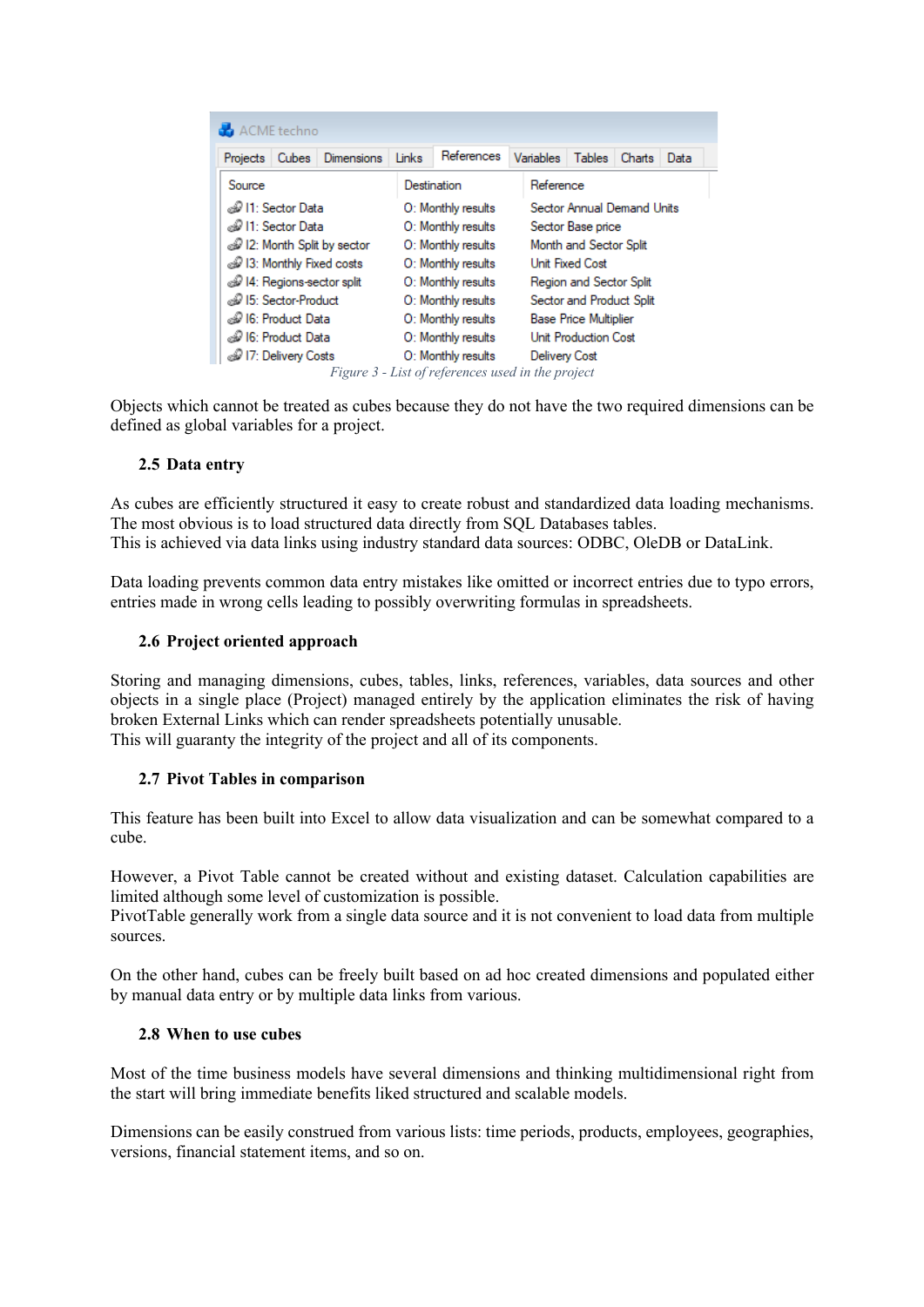| ACME techno                |                   |                    |                                                   |                          |                              |               |        |      |  |
|----------------------------|-------------------|--------------------|---------------------------------------------------|--------------------------|------------------------------|---------------|--------|------|--|
| Projects<br><b>Cubes</b>   | <b>Dimensions</b> | Links              | References                                        |                          | Variables                    | <b>Tables</b> | Charts | Data |  |
| Source                     |                   | Destination        |                                                   |                          | Reference                    |               |        |      |  |
| and 11: Sector Data        |                   |                    | O: Monthly results                                |                          | Sector Annual Demand Units   |               |        |      |  |
| வி 11: Sector Data         |                   | O: Monthly results |                                                   | Sector Base price        |                              |               |        |      |  |
| 2: Month Split by sector   |                   | O: Monthly results |                                                   | Month and Sector Split   |                              |               |        |      |  |
| 13: Monthly Fixed costs    |                   | O: Monthly results |                                                   | <b>Unit Fixed Cost</b>   |                              |               |        |      |  |
| d I4: Regions-sector split |                   | O: Monthly results |                                                   | Region and Sector Split  |                              |               |        |      |  |
| ⊕ 15: Sector-Product       |                   | O: Monthly results |                                                   | Sector and Product Split |                              |               |        |      |  |
| ⊛ 16: Product Data         |                   |                    | O: Monthly results                                |                          | <b>Base Price Multiplier</b> |               |        |      |  |
| ⊛ I6: Product Data         |                   |                    | O: Monthly results                                |                          | <b>Unit Production Cost</b>  |               |        |      |  |
| 17: Delivery Costs         |                   |                    | O: Monthly results                                | <b>Delivery Cost</b>     |                              |               |        |      |  |
|                            |                   |                    | Figure 3 - List of references used in the project |                          |                              |               |        |      |  |

Objects which cannot be treated as cubes because they do not have the two required dimensions can be defined as global variables for a project.

## **2.5 Data entry**

As cubes are efficiently structured it easy to create robust and standardized data loading mechanisms. The most obvious is to load structured data directly from SQL Databases tables. This is achieved via data links using industry standard data sources: ODBC, OleDB or DataLink.

Data loading prevents common data entry mistakes like omitted or incorrect entries due to typo errors, entries made in wrong cells leading to possibly overwriting formulas in spreadsheets.

## **2.6 Project oriented approach**

Storing and managing dimensions, cubes, tables, links, references, variables, data sources and other objects in a single place (Project) managed entirely by the application eliminates the risk of having broken External Links which can render spreadsheets potentially unusable. This will guaranty the integrity of the project and all of its components.

# **2.7 Pivot Tables in comparison**

This feature has been built into Excel to allow data visualization and can be somewhat compared to a cube.

However, a Pivot Table cannot be created without and existing dataset. Calculation capabilities are limited although some level of customization is possible.

PivotTable generally work from a single data source and it is not convenient to load data from multiple sources.

On the other hand, cubes can be freely built based on ad hoc created dimensions and populated either by manual data entry or by multiple data links from various.

## **2.8 When to use cubes**

Most of the time business models have several dimensions and thinking multidimensional right from the start will bring immediate benefits liked structured and scalable models.

Dimensions can be easily construed from various lists: time periods, products, employees, geographies, versions, financial statement items, and so on.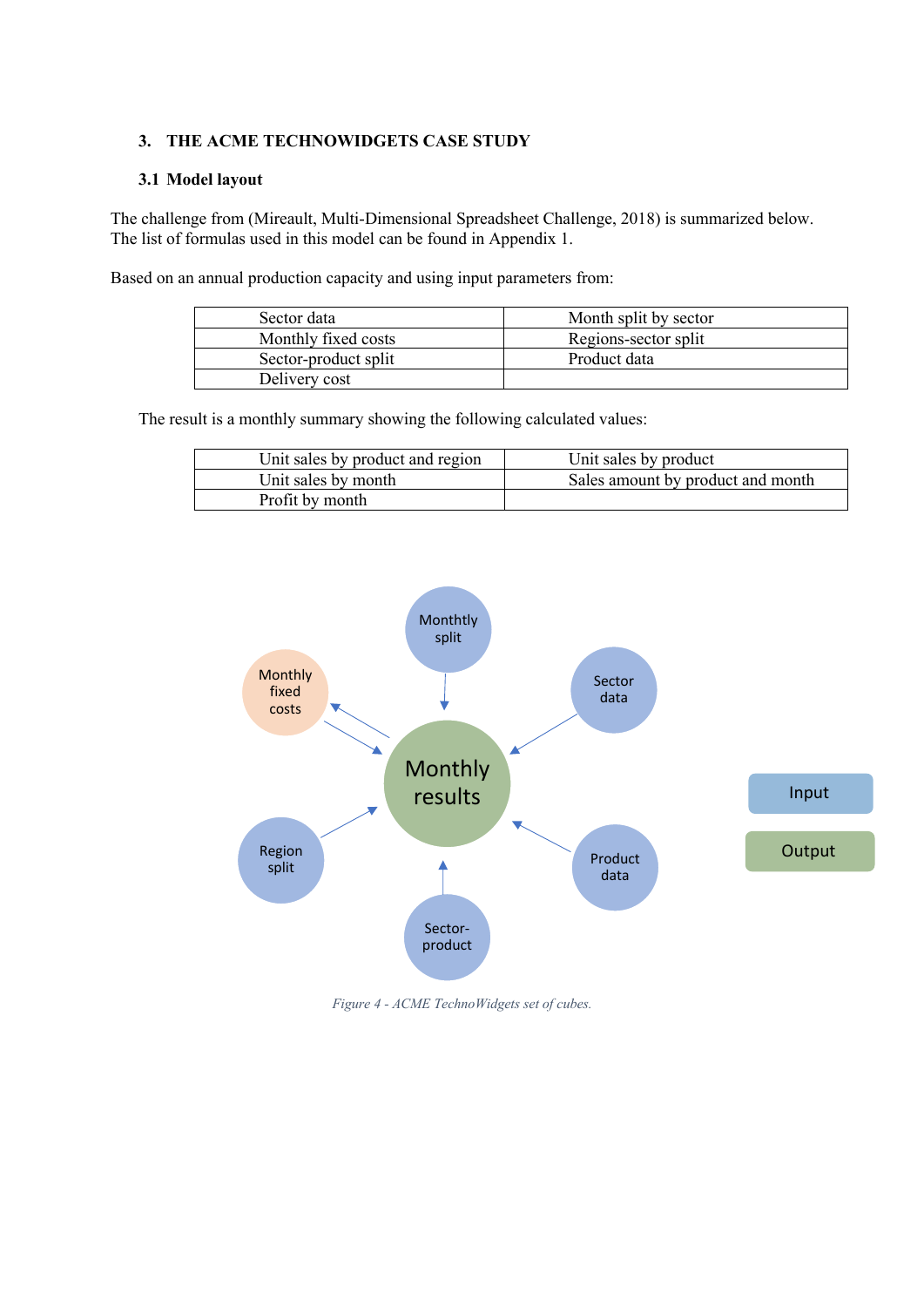# **3. THE ACME TECHNOWIDGETS CASE STUDY**

## **3.1 Model layout**

The challenge from (Mireault, Multi-Dimensional Spreadsheet Challenge, 2018) is summarized below. The list of formulas used in this model can be found in Appendix 1.

Based on an annual production capacity and using input parameters from:

| Sector data          | Month split by sector |
|----------------------|-----------------------|
| Monthly fixed costs  | Regions-sector split  |
| Sector-product split | Product data          |
| Delivery cost        |                       |

The result is a monthly summary showing the following calculated values:

| Unit sales by product and region | Unit sales by product             |
|----------------------------------|-----------------------------------|
| Unit sales by month              | Sales amount by product and month |
| Profit by month                  |                                   |



*Figure 4 - ACME TechnoWidgets set of cubes.*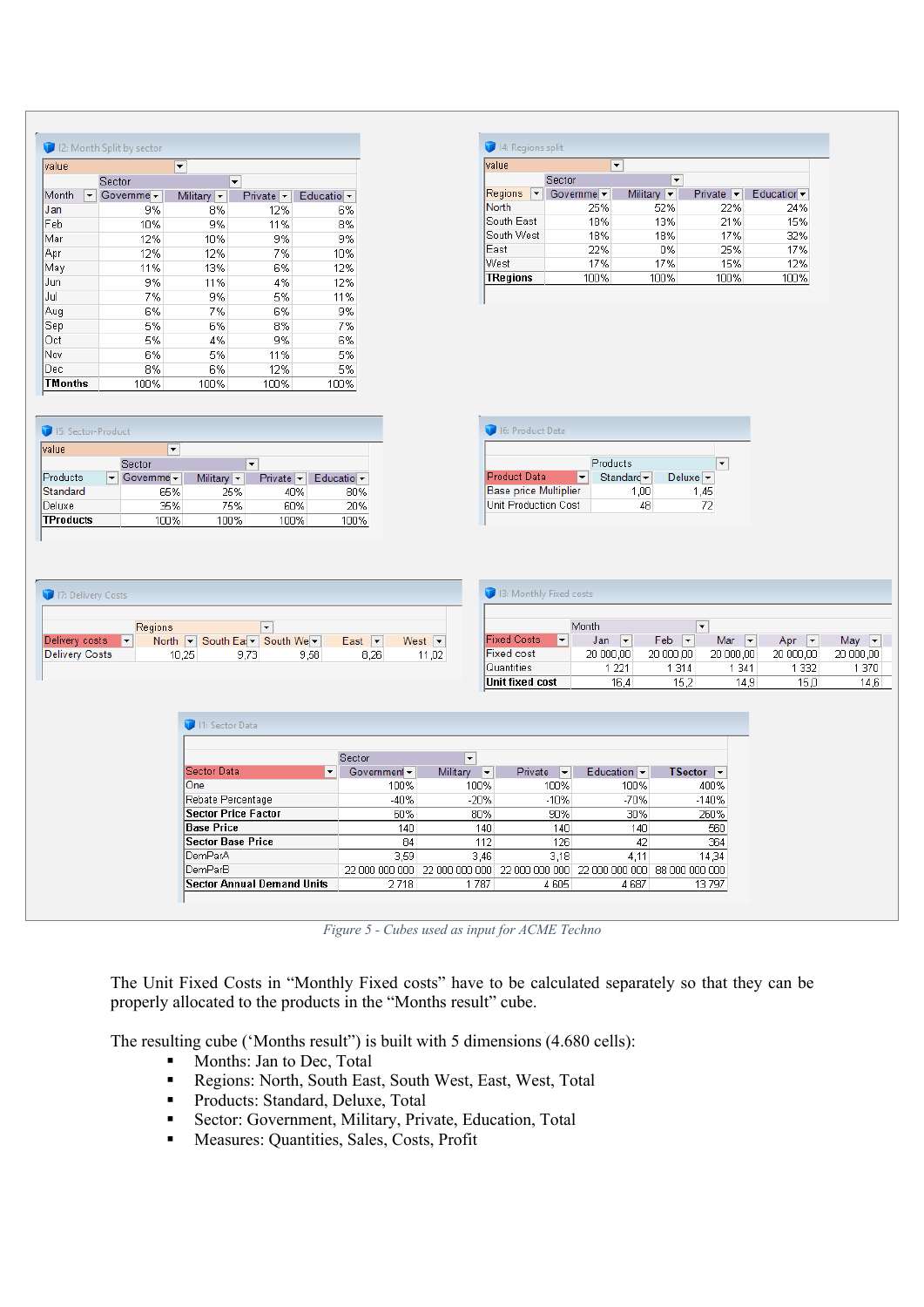| value   |   |            | $\blacktriangledown$           |                       |                                |
|---------|---|------------|--------------------------------|-----------------------|--------------------------------|
|         |   | Sector     |                                | ▼                     |                                |
| Month   | ▼ | Governme - | Military $\blacktriangleright$ | $Private~\rightarrow$ | Educatio $\blacktriangleright$ |
| Jan     |   | 9%         | 8%                             | 12%                   | 6%                             |
| Feb     |   | 10%        | 9%                             | 11%                   | 8%                             |
| Mar     |   | 12%        | 10%                            | 9%                    | 9%                             |
| Apr     |   | 12%        | 12%                            | 7%                    | 10%                            |
| May     |   | 11%        | 13%                            | 6%                    | 12%                            |
| Jun     |   | 9%         | 11%                            | 4%                    | 12%                            |
| Jul     |   | 7%         | 9%                             | 5%                    | 11%                            |
| Aug     |   | 6%         | 7%                             | 6%                    | 9%                             |
| Sep     |   | 5%         | 6%                             | 8%                    | 7%                             |
| Oct     |   | 5%         | 4%                             | 9%                    | 6%                             |
| Nov     |   | 6%         | 5%                             | 11%                   | 5%                             |
| Dec     |   | 8%         | 6%                             | 12%                   | 5%                             |
| TMonths |   | 100%       | 100%                           | 100%                  | 100%                           |

| value        | $\overline{\phantom{a}}$ |                                |         |                                |
|--------------|--------------------------|--------------------------------|---------|--------------------------------|
|              | Sector                   | ▼                              |         |                                |
| Regions<br>▼ | Governme -               | Military $\blacktriangleright$ | Private | Education $\blacktriangledown$ |
| North        | 25%                      | 52%                            | 22%     | 24%                            |
| South East   | 18%                      | 13%                            | 21%     | 15%                            |
| South West   | 18%                      | 18%                            | 17%     | 32%                            |
| Fast         | 22%                      | n%                             | 25%     | 17%                            |
| West         | 17%                      | 17%                            | 15%     | 12%                            |
| TRegions     | 100%                     | 100%                           | 100%    | 100%                           |

| 15: Sector-Product<br>value |                          |                                |                                  |                                |  |  |  |
|-----------------------------|--------------------------|--------------------------------|----------------------------------|--------------------------------|--|--|--|
|                             | $\overline{\phantom{a}}$ |                                |                                  |                                |  |  |  |
|                             |                          |                                | $\overline{\phantom{a}}$         |                                |  |  |  |
|                             | Governme -               | Military $\blacktriangleright$ | Private $\overline{\phantom{a}}$ | Educatio $\blacktriangleright$ |  |  |  |
|                             | 65%                      | 25%                            | 40%                              | 80%                            |  |  |  |
|                             | 35%                      | 75%                            | 60%                              | 20%                            |  |  |  |
|                             | 100%                     | 100%                           | 100%                             | 100%                           |  |  |  |
|                             |                          | Sector                         |                                  |                                |  |  |  |

| Products                     |                                   |                              |  |  |  |  |
|------------------------------|-----------------------------------|------------------------------|--|--|--|--|
| <b>Product Data</b>          | Standard $\overline{\phantom{a}}$ | Deluxe $\blacktriangleright$ |  |  |  |  |
| <b>Base price Multiplier</b> | 1.00                              | 1.45                         |  |  |  |  |
| Unit Production Cost         | 48                                | 72                           |  |  |  |  |

|                | <b>Regions</b>           |                      |      |                                  |       |
|----------------|--------------------------|----------------------|------|----------------------------------|-------|
| Delivery costs | North  <br>$\vert$<br>l¥ | South Ea: V South We |      | East<br>$\overline{\phantom{a}}$ | West  |
| Delivery Costs | 10.25                    | 9.73                 | 9.58 | 8.26                             | 11,02 |

|                                                | <b>13: Monthly Fixed costs</b>  |                                 |                                 |                                 |           |  |  |  |  |
|------------------------------------------------|---------------------------------|---------------------------------|---------------------------------|---------------------------------|-----------|--|--|--|--|
| Month<br>$\overline{\phantom{a}}$              |                                 |                                 |                                 |                                 |           |  |  |  |  |
| $\overline{\phantom{a}}$<br><b>Fixed Costs</b> | $\overline{\phantom{a}}$<br>Jan | Feb<br>$\overline{\phantom{a}}$ | Mar<br>$\overline{\phantom{a}}$ | Apr<br>$\overline{\phantom{a}}$ | May<br>▾  |  |  |  |  |
| <b>Fixed cost</b>                              | 20 000 00                       | 20 000,00                       | 20 000,00                       | 20 000,00                       | 20 000,00 |  |  |  |  |
| Quantities                                     | 1 2 2 1                         | 1 3 1 4                         | 1 3 4 1                         | 1 3 3 2                         | 1 370     |  |  |  |  |
| Unit fixed cost                                | 16.4                            | 15.2                            | 14.9                            | 15.0                            | 14.6      |  |  |  |  |

| 1: Sector Data                    |                             |                                                                  |                |                                |                                            |
|-----------------------------------|-----------------------------|------------------------------------------------------------------|----------------|--------------------------------|--------------------------------------------|
|                                   |                             |                                                                  |                |                                |                                            |
| Sector Data<br>▼                  | Sector<br>Government $\sim$ | $\overline{\phantom{a}}$<br>Military<br>$\overline{\phantom{a}}$ | Private<br>▼   | Education $\blacktriangledown$ | <b>TSector</b><br>$\overline{\phantom{a}}$ |
| <b>One</b>                        | 100%                        | 100%                                                             | 100%           | 100%                           | 400%                                       |
| Rebate Percentage                 | $-40%$                      | $-20%$                                                           | $-10%$         | $-70%$                         | $-140%$                                    |
| <b>Sector Price Factor</b>        | 60%                         | 80%                                                              | 90%            | 30%                            | 260%                                       |
| <b>Base Price</b>                 | 140                         | 140                                                              | 140            | 140                            | 560                                        |
| <b>Sector Base Price</b>          | 84                          | 112                                                              | 126            | 42                             | 364                                        |
| lDemParA                          | 3,59                        | 3.46                                                             | 3,18           | 4,11                           | 14,34                                      |
| DemParB                           | 22 NOO OOO OOO              | 22 000 000 000                                                   | 22 000 000 000 | 22 NOO OOO OOO                 | 88.000.000.000                             |
| <b>Sector Annual Demand Units</b> | 2718                        | 1787                                                             | 4605           | 4 6 8 7                        | 13797                                      |

*Figure 5 - Cubes used as input for ACME Techno*

The Unit Fixed Costs in "Monthly Fixed costs" have to be calculated separately so that they can be properly allocated to the products in the "Months result" cube.

The resulting cube ('Months result'') is built with 5 dimensions (4.680 cells):

- Months: Jan to Dec, Total
- Regions: North, South East, South West, East, West, Total
- Products: Standard, Deluxe, Total
- Sector: Government, Military, Private, Education, Total
- Measures: Quantities, Sales, Costs, Profit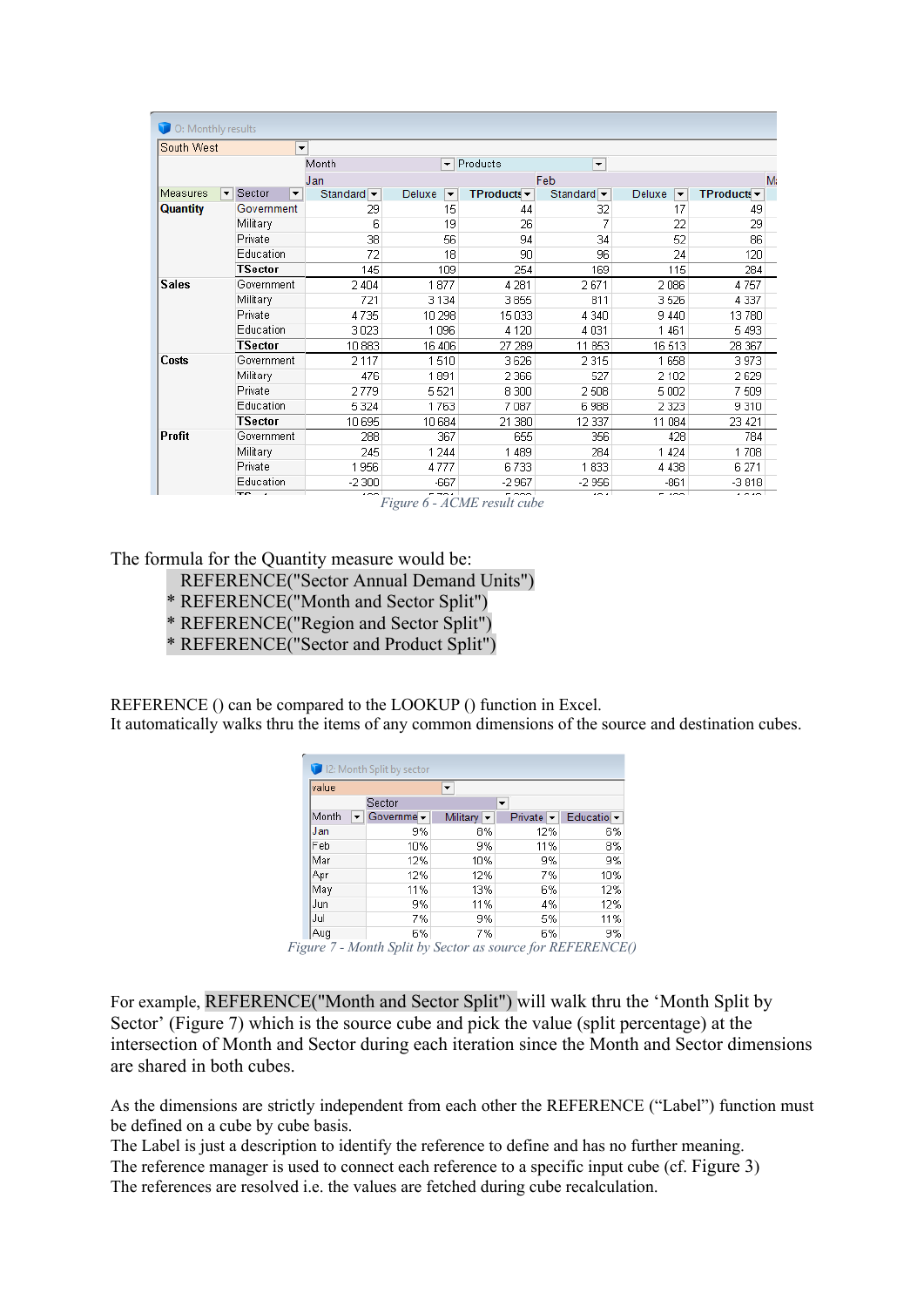| O: Monthly results |                                         |                                     |                                |                                 |                               |                                    |                     |
|--------------------|-----------------------------------------|-------------------------------------|--------------------------------|---------------------------------|-------------------------------|------------------------------------|---------------------|
| South West         |                                         | $\overline{\phantom{a}}$            |                                |                                 |                               |                                    |                     |
|                    |                                         | Month                               | ÷                              | Products                        | $\blacktriangledown$          |                                    |                     |
|                    |                                         | Jan                                 |                                |                                 | Feb                           |                                    | M:                  |
| Measures           | Sector<br>▾<br>$\overline{\phantom{a}}$ | Standard $\overline{\phantom{a}}$   | Deluxe<br>$\blacktriangledown$ | TProducts $\blacktriangleright$ | Standard $\blacktriangledown$ | Deluxe<br>$\overline{\phantom{a}}$ | $TP$ roducts $\sim$ |
| <b>Quantity</b>    | Government                              | 29                                  | 15                             | 44                              | 32                            | 17                                 | 49                  |
|                    | Military                                | ĥ                                   | 19                             | 26                              |                               | 22                                 | 29                  |
|                    | Private                                 | 38                                  | 56                             | 94                              | 34                            | 52                                 | 86                  |
|                    | Education                               | 72                                  | 18                             | 90                              | 96                            | 24                                 | 120                 |
|                    | <b>TSector</b>                          | 145                                 | 109                            | 254                             | 169                           | 115                                | 284                 |
| <b>Sales</b>       | Government                              | 2 4 0 4                             | 1877                           | 4 2 8 1                         | 2671                          | 2086                               | 4757                |
|                    | Military                                | 721                                 | 3 1 3 4                        | 3855                            | 811                           | 3526                               | 4 3 3 7             |
|                    | Private                                 | 4735                                | 10 298                         | 15 033                          | 4 3 4 0                       | 9 4 4 0                            | 13780               |
|                    | Education                               | 3023                                | 1096                           | 4 1 2 0                         | 4 0 3 1                       | 1461                               | 5 4 9 3             |
|                    | <b>TSector</b>                          | 10 883                              | 16 40 6                        | 27 289                          | 11 853                        | 16513                              | 28 367              |
| Costs              | Government                              | 2 1 1 7                             | 1510                           | 3626                            | 2 3 1 5                       | 1658                               | 3973                |
|                    | Military                                | 476                                 | 1891                           | 2 3 6 6                         | 527                           | 2 1 0 2                            | 2629                |
|                    | Private                                 | 2779                                | 5521                           | 8 3 0 0                         | 2508                          | 5 0 0 2                            | 7509                |
|                    | Education                               | 5 3 2 4                             | 1763                           | 7 0 8 7                         | 6988                          | 2 3 2 3                            | 9310                |
|                    | <b>TSector</b>                          | 10 695                              | 10 684                         | 21 380                          | 12 3 37                       | 11 084                             | 23 421              |
| Profit             | Government                              | 288                                 | 367                            | 655                             | 356                           | 428                                | 784                 |
|                    | Military                                | 245                                 | 1 244                          | 1 4 8 9                         | 284                           | 1 4 2 4                            | 1708                |
|                    | Private                                 | 1956                                | 4777                           | 6733                            | 833<br>1                      | 4 4 3 8                            | 6 271               |
|                    | Education                               | $-2300$                             | $-667$                         | $-2967$                         | $-2956$                       | $-861$                             | $-3818$             |
|                    | $Te_{n+1}$                              | $100 -$<br>$\overline{\phantom{a}}$ | E TOAL                         | n ooo l<br>$1.033$ $0.073$      | 10.4                          | $F \rightarrow \infty$             | 1010                |

*Figure 6 - ACME result cube*

The formula for the Quantity measure would be:

- REFERENCE("Sector Annual Demand Units")
- \* REFERENCE("Month and Sector Split")
- \* REFERENCE("Region and Sector Split")
- \* REFERENCE("Sector and Product Split")

REFERENCE () can be compared to the LOOKUP () function in Excel.

It automatically walks thru the items of any common dimensions of the source and destination cubes.

| 12: Month Split by sector |    |            |                                |                               |                               |  |
|---------------------------|----|------------|--------------------------------|-------------------------------|-------------------------------|--|
| value                     |    |            | ▼                              |                               |                               |  |
|                           |    | Sector     |                                | ٠                             |                               |  |
| Month                     | ▾╎ | Governme - | Military $\blacktriangleright$ | Private $\blacktriangleright$ | Educatio $\blacktriangledown$ |  |
| Jan                       |    | 9%         | 8%                             | 12%                           | 6%                            |  |
| Feb                       |    | 10%        | 9%                             | 11%                           | 8%                            |  |
| Mar                       |    | 12%        | 10%                            | 9%                            | 9%                            |  |
| Apr                       |    | 12%        | 12%                            | 7%                            | 10%                           |  |
| May                       |    | 11%        | 13%                            | 6%                            | 12%                           |  |
| Jun                       |    | 9%         | 11%                            | 4%                            | 12%                           |  |
| Jul                       |    | 7%         | 9%                             | 5%                            | 11%                           |  |
| Aug                       |    | 6%         | 7%                             | 6%                            | 9%                            |  |

*Figure 7 - Month Split by Sector as source for REFERENCE()*

For example, REFERENCE("Month and Sector Split") will walk thru the 'Month Split by Sector' (Figure 7) which is the source cube and pick the value (split percentage) at the intersection of Month and Sector during each iteration since the Month and Sector dimensions are shared in both cubes.

As the dimensions are strictly independent from each other the REFERENCE ("Label") function must be defined on a cube by cube basis.

The Label is just a description to identify the reference to define and has no further meaning. The reference manager is used to connect each reference to a specific input cube (cf. Figure 3)

The references are resolved i.e. the values are fetched during cube recalculation.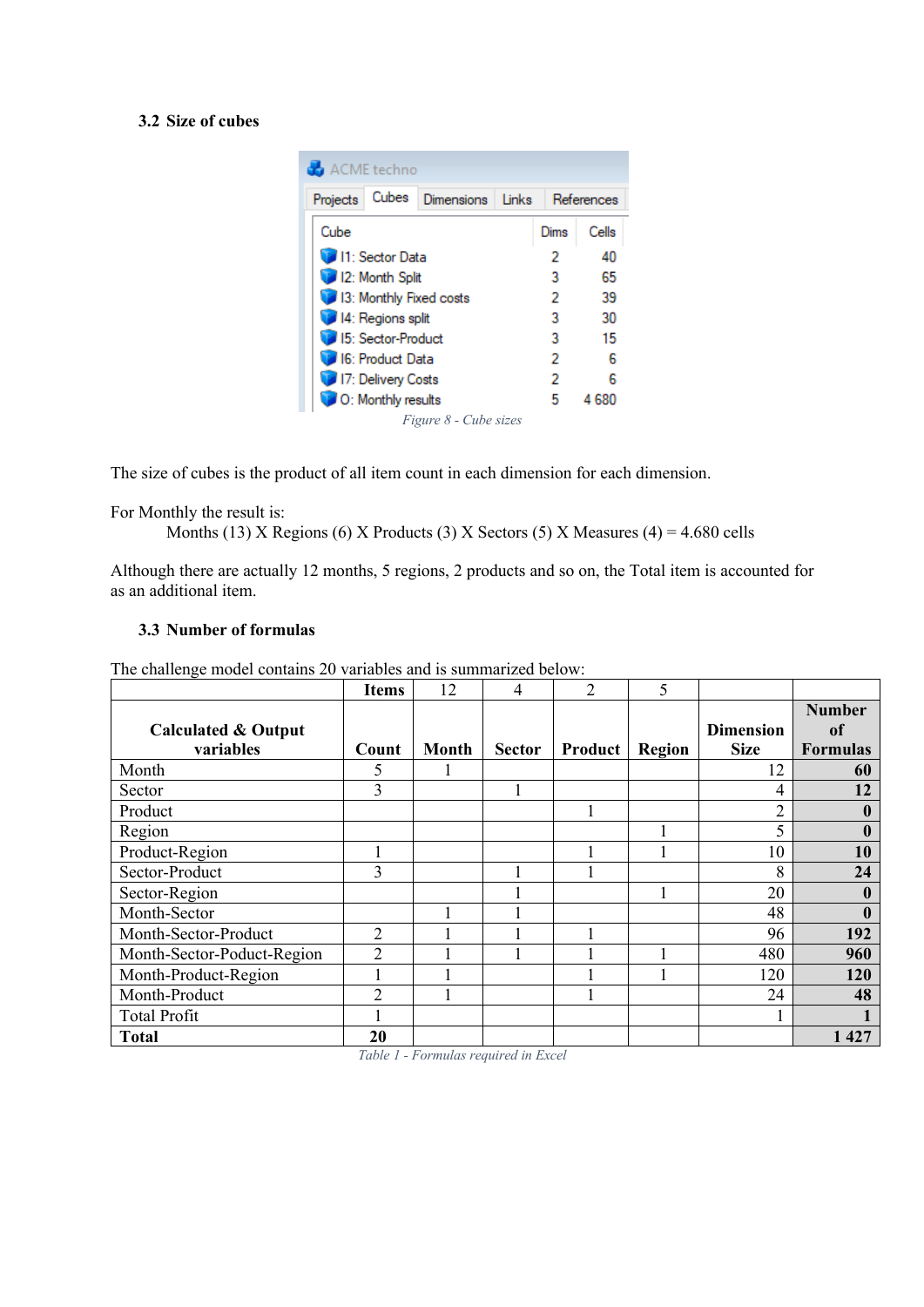# **3.2 Size of cubes**

| ACME techno                                     |      |            |  |  |  |  |  |
|-------------------------------------------------|------|------------|--|--|--|--|--|
| Cubes<br><b>Dimensions</b><br>Projects<br>Links |      | References |  |  |  |  |  |
| Cube                                            | Dims | Cells      |  |  |  |  |  |
| 11: Sector Data                                 | 2    | 40         |  |  |  |  |  |
| 12: Month Split                                 | з    | 65         |  |  |  |  |  |
| 13: Monthly Fixed costs                         | 2    | 39         |  |  |  |  |  |
| 14: Regions split                               | 3    | 30         |  |  |  |  |  |
| 15: Sector-Product                              | 3    | 15         |  |  |  |  |  |
| <b>16: Product Data</b>                         | 2    | Բ          |  |  |  |  |  |
| 17: Delivery Costs                              | 2    |            |  |  |  |  |  |
| O: Monthly results                              | 5    | 4 680      |  |  |  |  |  |
| Figure 8 - Cube sizes                           |      |            |  |  |  |  |  |

The size of cubes is the product of all item count in each dimension for each dimension.

For Monthly the result is:

Months (13) X Regions (6) X Products (3) X Sectors (5) X Measures (4) = 4.680 cells

Although there are actually 12 months, 5 regions, 2 products and so on, the Total item is accounted for as an additional item.

# **3.3 Number of formulas**

The challenge model contains 20 variables and is summarized below:

|                                | <b>Items</b>   | 12           | $\overline{4}$                                                                                                                                                                                                                       | $\overline{2}$ | 5             |                  |                 |
|--------------------------------|----------------|--------------|--------------------------------------------------------------------------------------------------------------------------------------------------------------------------------------------------------------------------------------|----------------|---------------|------------------|-----------------|
|                                |                |              |                                                                                                                                                                                                                                      |                |               |                  | <b>Number</b>   |
| <b>Calculated &amp; Output</b> |                |              |                                                                                                                                                                                                                                      |                |               | <b>Dimension</b> | of              |
| variables                      | Count          | <b>Month</b> | <b>Sector</b>                                                                                                                                                                                                                        | Product        | <b>Region</b> | <b>Size</b>      | <b>Formulas</b> |
| Month                          | 5              |              |                                                                                                                                                                                                                                      |                |               | 12               | 60              |
| Sector                         | 3              |              |                                                                                                                                                                                                                                      |                |               | 4                | 12              |
| Product                        |                |              |                                                                                                                                                                                                                                      |                |               | $\mathcal{D}$    | $\mathbf{0}$    |
| Region                         |                |              |                                                                                                                                                                                                                                      |                |               | 5                | 0               |
| Product-Region                 |                |              |                                                                                                                                                                                                                                      |                |               | 10               | 10              |
| Sector-Product                 | 3              |              |                                                                                                                                                                                                                                      |                |               | 8                | 24              |
| Sector-Region                  |                |              |                                                                                                                                                                                                                                      |                |               | 20               |                 |
| Month-Sector                   |                |              |                                                                                                                                                                                                                                      |                |               | 48               |                 |
| Month-Sector-Product           | $\overline{2}$ |              |                                                                                                                                                                                                                                      |                |               | 96               | 192             |
| Month-Sector-Poduct-Region     | $\overline{c}$ |              |                                                                                                                                                                                                                                      |                |               | 480              | 960             |
| Month-Product-Region           |                |              |                                                                                                                                                                                                                                      |                |               | 120              | 120             |
| Month-Product                  | $\overline{2}$ |              |                                                                                                                                                                                                                                      |                |               | 24               | 48              |
| <b>Total Profit</b>            |                |              |                                                                                                                                                                                                                                      |                |               |                  |                 |
| <b>Total</b>                   | 20             | $\mathbf{r}$ | <b>Contract Contract Contract Contract Contract Contract Contract Contract Contract Contract Contract Contract Contract Contract Contract Contract Contract Contract Contract Contract Contract Contract Contract Contract Contr</b> |                |               |                  | 1 4 2 7         |

*Table 1 - Formulas required in Excel*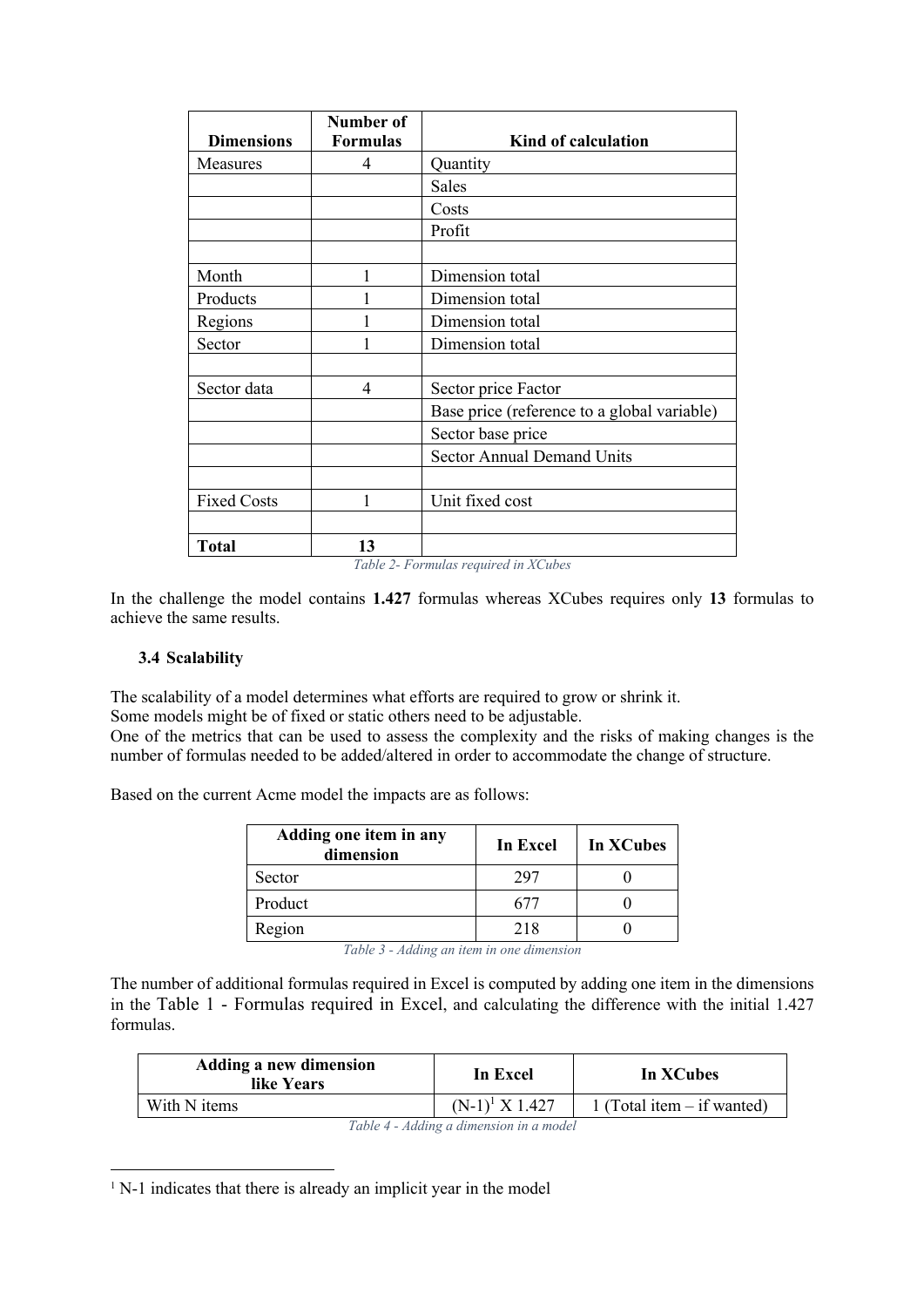|                    | Number of       |                                                                 |
|--------------------|-----------------|-----------------------------------------------------------------|
| <b>Dimensions</b>  | <b>Formulas</b> | Kind of calculation                                             |
| Measures           | 4               | Quantity                                                        |
|                    |                 | Sales                                                           |
|                    |                 | Costs                                                           |
|                    |                 | Profit                                                          |
|                    |                 |                                                                 |
| Month              | 1               | Dimension total                                                 |
| Products           |                 | Dimension total                                                 |
| Regions            |                 | Dimension total                                                 |
| Sector             | 1               | Dimension total                                                 |
|                    |                 |                                                                 |
| Sector data        | 4               | Sector price Factor                                             |
|                    |                 | Base price (reference to a global variable)                     |
|                    |                 | Sector base price                                               |
|                    |                 | <b>Sector Annual Demand Units</b>                               |
|                    |                 |                                                                 |
| <b>Fixed Costs</b> | 1               | Unit fixed cost                                                 |
|                    |                 |                                                                 |
| <b>Total</b>       | 13              | $T_2$ $\&b$ $c$ $D_2$ $\&c$ $D_3$ $\&c$ $D_4$ $\&c$ $D_5$ $\&c$ |

*Table 2- Formulas required in XCubes*

In the challenge the model contains **1.427** formulas whereas XCubes requires only **13** formulas to achieve the same results.

#### **3.4 Scalability**

The scalability of a model determines what efforts are required to grow or shrink it. Some models might be of fixed or static others need to be adjustable.

One of the metrics that can be used to assess the complexity and the risks of making changes is the number of formulas needed to be added/altered in order to accommodate the change of structure.

Based on the current Acme model the impacts are as follows:

| Adding one item in any<br>dimension | In Excel | In XCubes |
|-------------------------------------|----------|-----------|
| Sector                              | 297      |           |
| Product                             |          |           |
| Region                              | 218      |           |

*Table 3 - Adding an item in one dimension*

The number of additional formulas required in Excel is computed by adding one item in the dimensions in the Table 1 - Formulas required in Excel, and calculating the difference with the initial 1.427 formulas.

| <b>Adding a new dimension</b><br>like Years | In Excel          | In XCubes                    |
|---------------------------------------------|-------------------|------------------------------|
| With N items                                | $(N-1)^1 X 1.427$ | 1 (Total item $-$ if wanted) |

*Table 4 - Adding a dimension in a model*

 $1$  N-1 indicates that there is already an implicit year in the model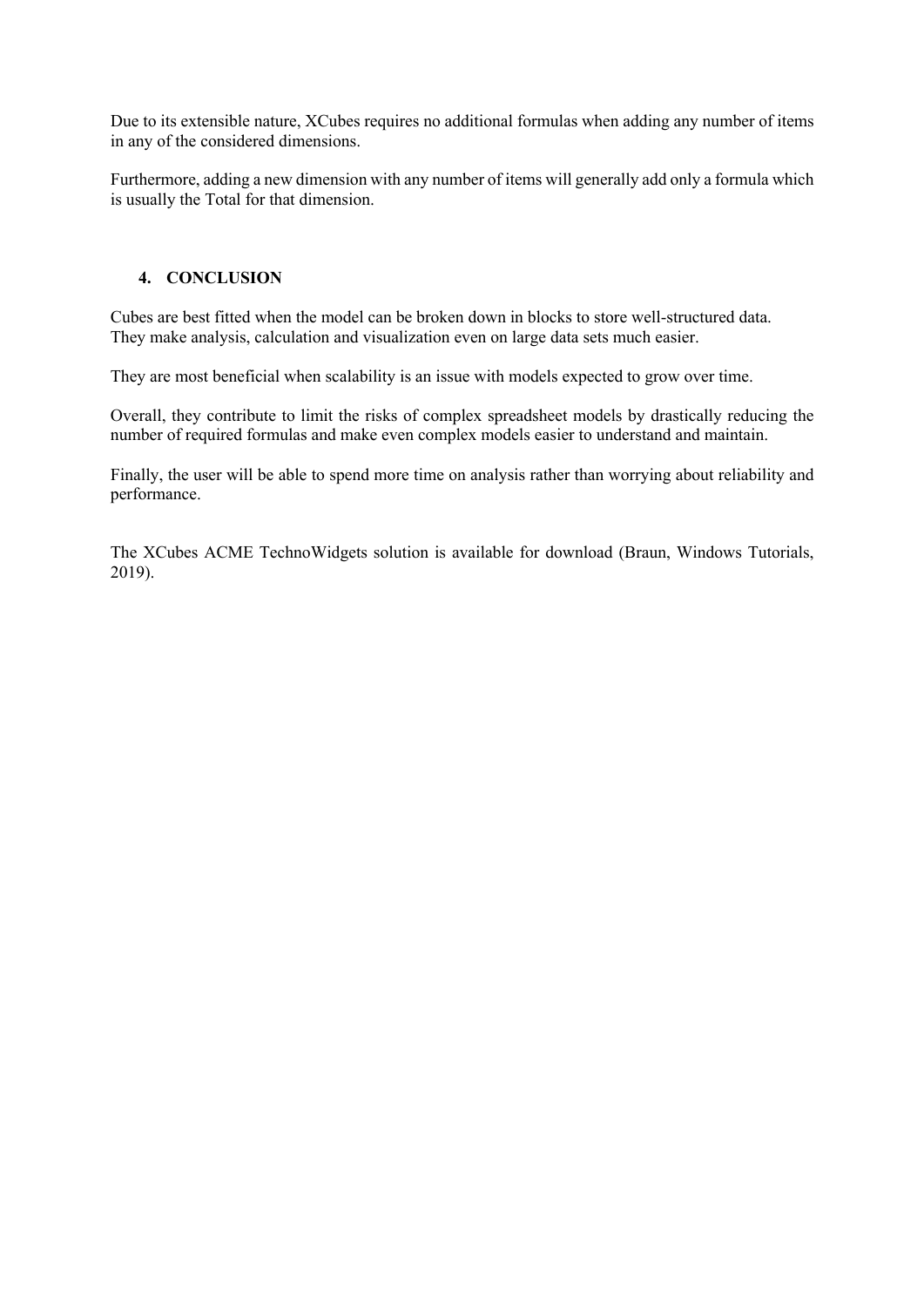Due to its extensible nature, XCubes requires no additional formulas when adding any number of items in any of the considered dimensions.

Furthermore, adding a new dimension with any number of items will generally add only a formula which is usually the Total for that dimension.

### **4. CONCLUSION**

Cubes are best fitted when the model can be broken down in blocks to store well-structured data. They make analysis, calculation and visualization even on large data sets much easier.

They are most beneficial when scalability is an issue with models expected to grow over time.

Overall, they contribute to limit the risks of complex spreadsheet models by drastically reducing the number of required formulas and make even complex models easier to understand and maintain.

Finally, the user will be able to spend more time on analysis rather than worrying about reliability and performance.

The XCubes ACME TechnoWidgets solution is available for download (Braun, Windows Tutorials, 2019).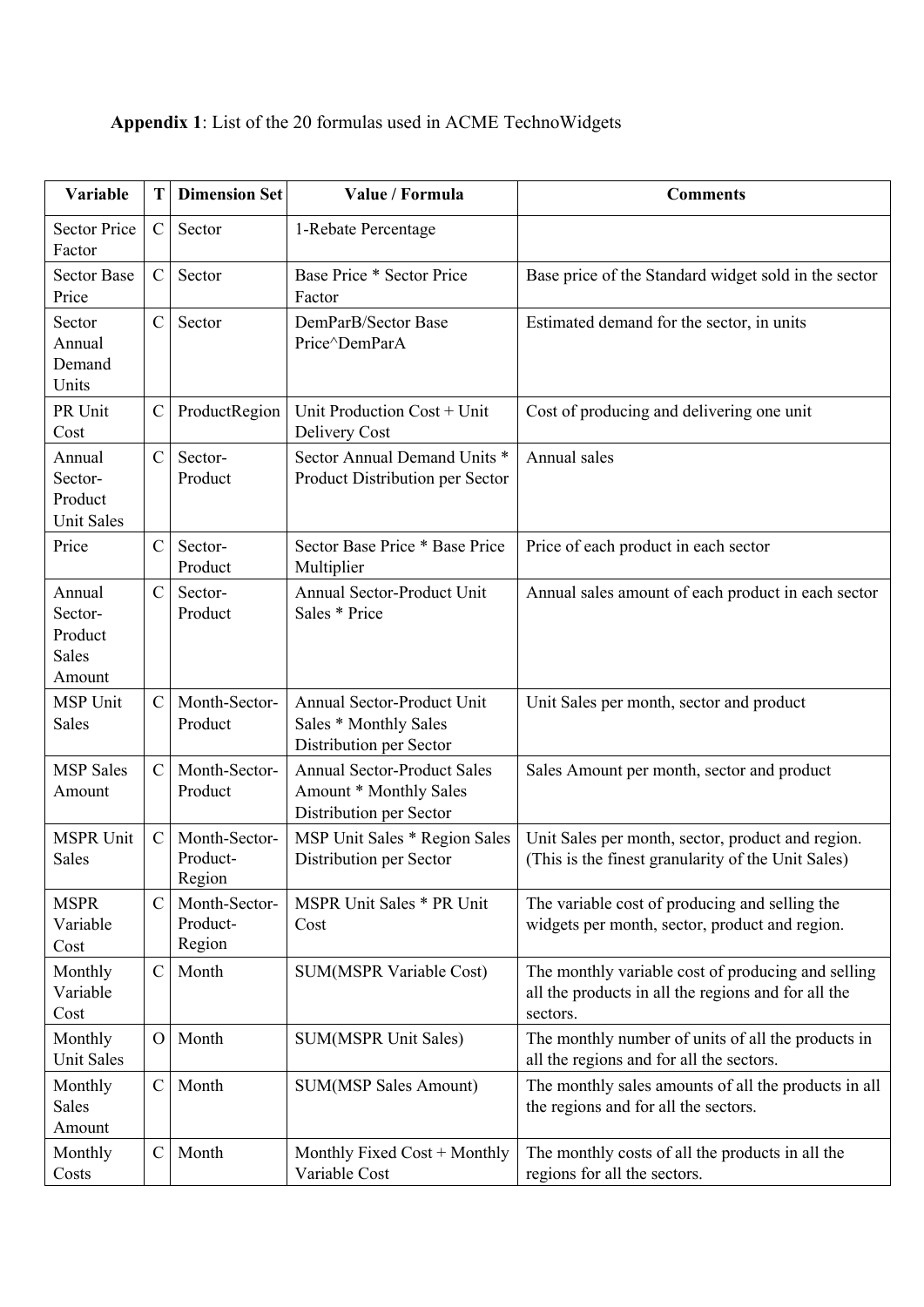# **Appendix 1**: List of the 20 formulas used in ACME TechnoWidgets

| <b>Variable</b>                                   | T             | <b>Dimension Set</b>                | Value / Formula                                                                         | <b>Comments</b>                                                                                                       |
|---------------------------------------------------|---------------|-------------------------------------|-----------------------------------------------------------------------------------------|-----------------------------------------------------------------------------------------------------------------------|
| <b>Sector Price</b><br>Factor                     | $\mathcal{C}$ | Sector                              | 1-Rebate Percentage                                                                     |                                                                                                                       |
| <b>Sector Base</b><br>Price                       | $\mathcal{C}$ | Sector                              | <b>Base Price * Sector Price</b><br>Factor                                              | Base price of the Standard widget sold in the sector                                                                  |
| Sector<br>Annual<br>Demand<br>Units               | $\mathbf C$   | Sector                              | DemParB/Sector Base<br>Price^DemParA                                                    | Estimated demand for the sector, in units                                                                             |
| PR Unit<br>Cost                                   | $\mathbf C$   | ProductRegion                       | Unit Production Cost + Unit<br>Delivery Cost                                            | Cost of producing and delivering one unit                                                                             |
| Annual<br>Sector-<br>Product<br><b>Unit Sales</b> | $\mathbf C$   | Sector-<br>Product                  | Sector Annual Demand Units *<br>Product Distribution per Sector                         | Annual sales                                                                                                          |
| Price                                             | $\mathcal{C}$ | Sector-<br>Product                  | Sector Base Price * Base Price<br>Multiplier                                            | Price of each product in each sector                                                                                  |
| Annual<br>Sector-<br>Product<br>Sales<br>Amount   | $\mathcal{C}$ | Sector-<br>Product                  | Annual Sector-Product Unit<br>Sales * Price                                             | Annual sales amount of each product in each sector                                                                    |
| <b>MSP Unit</b><br>Sales                          | $\mathcal{C}$ | Month-Sector-<br>Product            | Annual Sector-Product Unit<br>Sales * Monthly Sales<br>Distribution per Sector          | Unit Sales per month, sector and product                                                                              |
| <b>MSP</b> Sales<br>Amount                        | $\mathcal{C}$ | Month-Sector-<br>Product            | <b>Annual Sector-Product Sales</b><br>Amount * Monthly Sales<br>Distribution per Sector | Sales Amount per month, sector and product                                                                            |
| <b>MSPR Unit</b><br>Sales                         | $\mathcal{C}$ | Month-Sector-<br>Product-<br>Region | MSP Unit Sales * Region Sales<br>Distribution per Sector                                | Unit Sales per month, sector, product and region.<br>(This is the finest granularity of the Unit Sales)               |
| <b>MSPR</b><br>Variable<br>Cost                   | $\mathcal{C}$ | Month-Sector-<br>Product-<br>Region | MSPR Unit Sales * PR Unit<br>Cost                                                       | The variable cost of producing and selling the<br>widgets per month, sector, product and region.                      |
| Monthly<br>Variable<br>Cost                       | $\mathbf C$   | Month                               | <b>SUM(MSPR Variable Cost)</b>                                                          | The monthly variable cost of producing and selling<br>all the products in all the regions and for all the<br>sectors. |
| Monthly<br>Unit Sales                             | $\Omega$      | Month                               | <b>SUM(MSPR Unit Sales)</b>                                                             | The monthly number of units of all the products in<br>all the regions and for all the sectors.                        |
| Monthly<br>Sales<br>Amount                        | $\mathcal{C}$ | Month                               | <b>SUM(MSP Sales Amount)</b>                                                            | The monthly sales amounts of all the products in all<br>the regions and for all the sectors.                          |
| Monthly<br>Costs                                  | $\mathbf C$   | Month                               | Monthly Fixed Cost + Monthly<br>Variable Cost                                           | The monthly costs of all the products in all the<br>regions for all the sectors.                                      |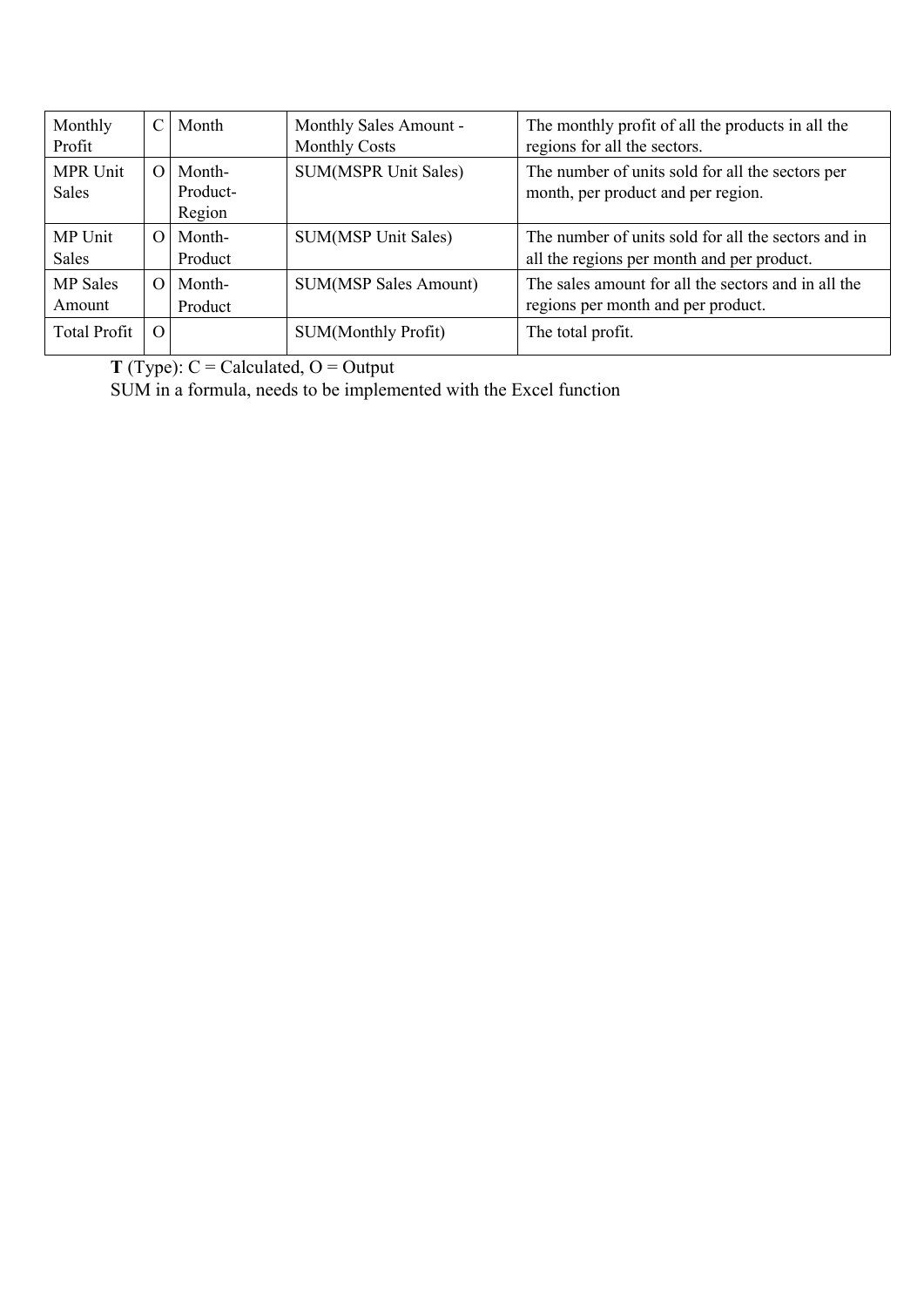| Monthly<br>Profit         | $\mathcal{C}$ | Month                        | Monthly Sales Amount -<br><b>Monthly Costs</b> | The monthly profit of all the products in all the<br>regions for all the sectors.                 |
|---------------------------|---------------|------------------------------|------------------------------------------------|---------------------------------------------------------------------------------------------------|
| MPR Unit<br><b>Sales</b>  | $\Omega$      | Month-<br>Product-<br>Region | SUM(MSPR Unit Sales)                           | The number of units sold for all the sectors per<br>month, per product and per region.            |
| MP Unit<br><b>Sales</b>   | $\Omega$      | Month-<br>Product            | SUM(MSP Unit Sales)                            | The number of units sold for all the sectors and in<br>all the regions per month and per product. |
| <b>MP</b> Sales<br>Amount | $\Omega$      | Month-<br>Product            | <b>SUM(MSP Sales Amount)</b>                   | The sales amount for all the sectors and in all the<br>regions per month and per product.         |
| <b>Total Profit</b>       | $\Omega$      |                              | SUM(Monthly Profit)                            | The total profit.                                                                                 |

**T** (Type):  $C =$  Calculated,  $O =$  Output

SUM in a formula, needs to be implemented with the Excel function